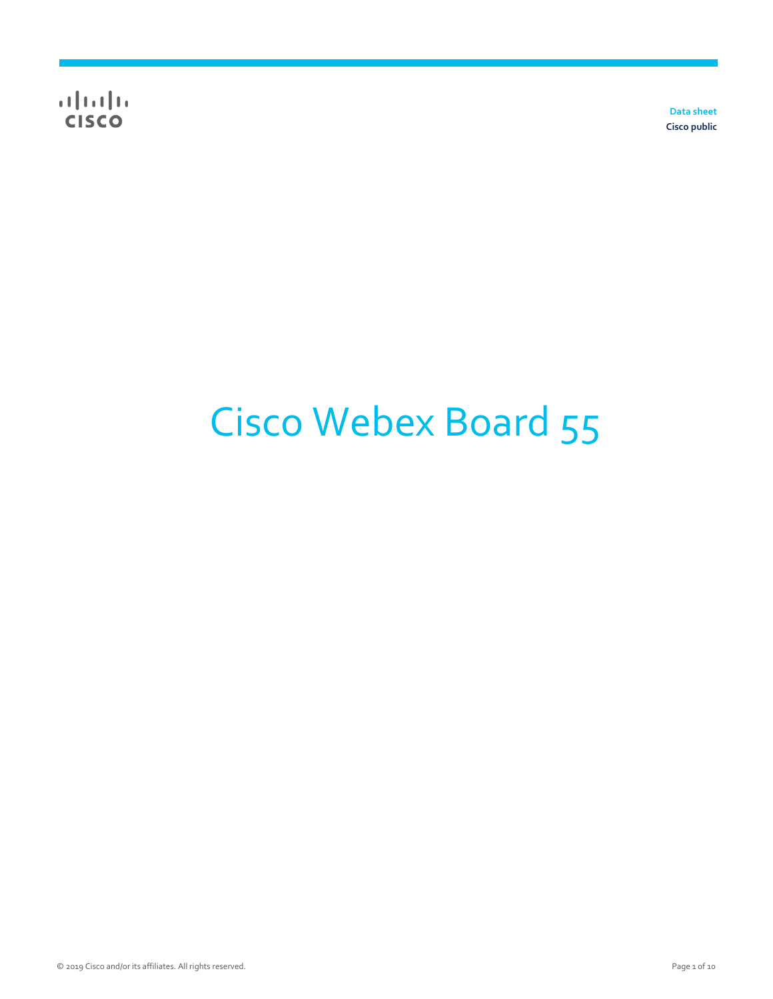**Data sheet Cisco public**

# Cisco Webex Board 55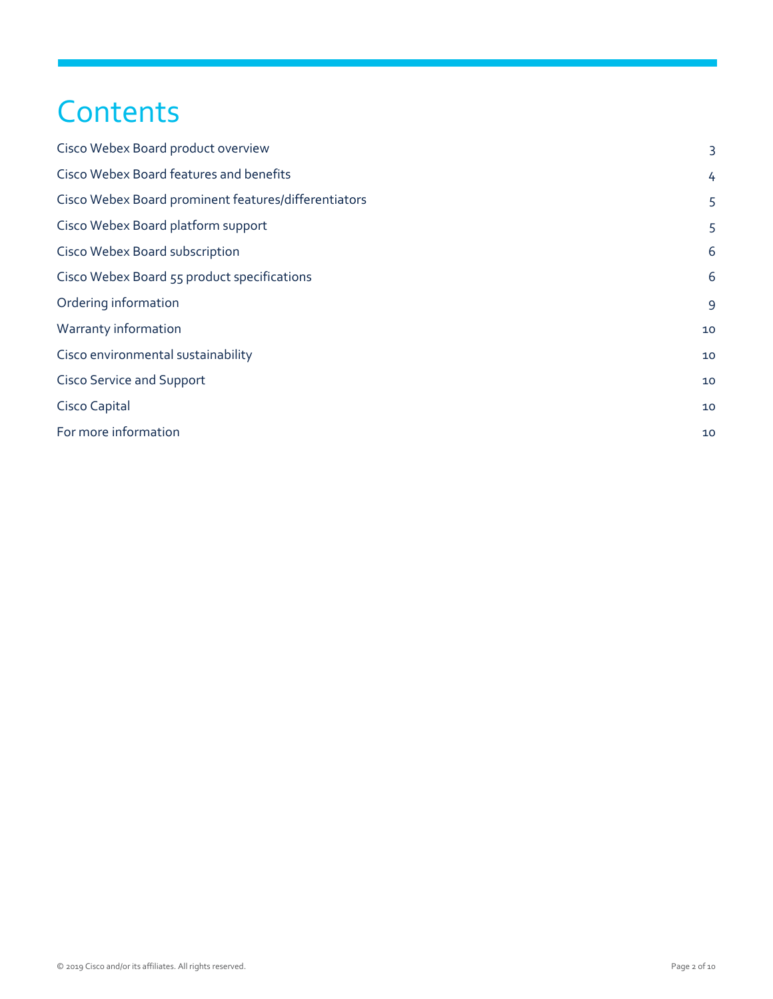## **Contents**

| Cisco Webex Board product overview                   | 3  |
|------------------------------------------------------|----|
| Cisco Webex Board features and benefits              | 4  |
| Cisco Webex Board prominent features/differentiators | 5  |
| Cisco Webex Board platform support                   | 5  |
| Cisco Webex Board subscription                       | 6  |
| Cisco Webex Board 55 product specifications          | 6  |
| Ordering information                                 | 9  |
| Warranty information                                 | 10 |
| Cisco environmental sustainability                   | 10 |
| <b>Cisco Service and Support</b>                     | 10 |
| Cisco Capital                                        | 10 |
| For more information                                 | 10 |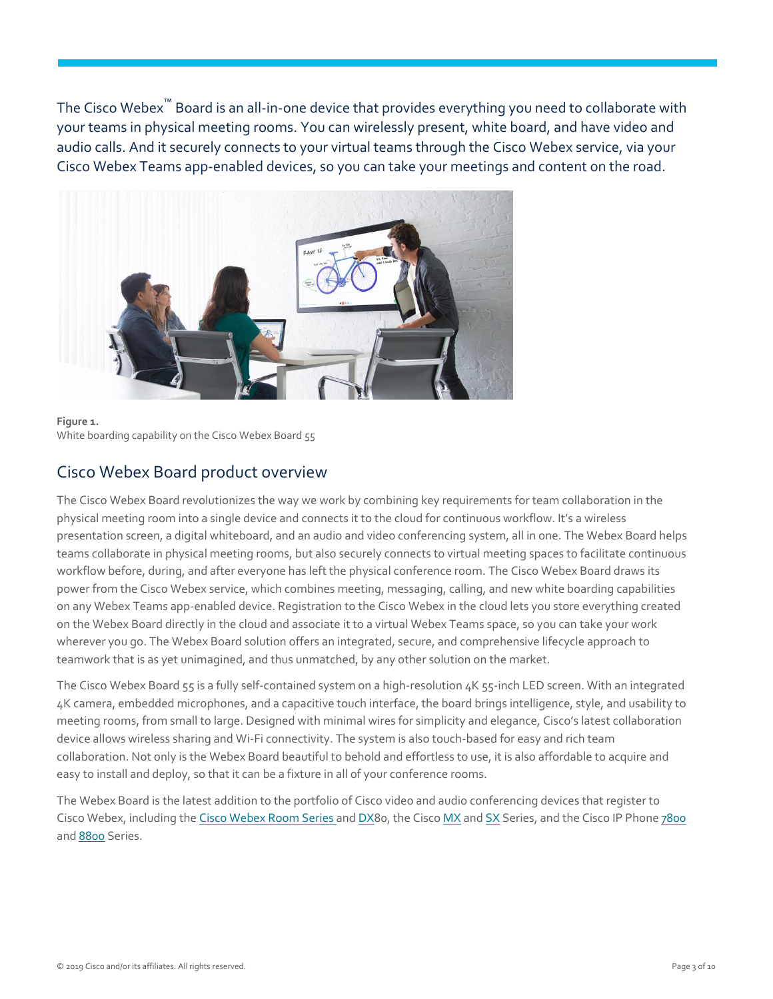The Cisco Webex™ Board is an all-in-one device that provides everything you need to collaborate with your teams in physical meeting rooms. You can wirelessly present, white board, and have video and audio calls. And it securely connects to your virtual teams through the Cisco Webex service, via your Cisco Webex Teams app-enabled devices, so you can take your meetings and content on the road.



**Figure 1.**  White boarding capability on the Cisco Webex Board 55

#### <span id="page-2-0"></span>Cisco Webex Board product overview

The Cisco Webex Board revolutionizes the way we work by combining key requirements for team collaboration in the physical meeting room into a single device and connects it to the cloud for continuous workflow. It's a wireless presentation screen, a digital whiteboard, and an audio and video conferencing system, all in one. The Webex Board helps teams collaborate in physical meeting rooms, but also securely connects to virtual meeting spaces to facilitate continuous workflow before, during, and after everyone has left the physical conference room. The Cisco Webex Board draws its power from the Cisco Webex service, which combines meeting, messaging, calling, and new white boarding capabilities on any Webex Teams app-enabled device. Registration to the Cisco Webex in the cloud lets you store everything created on the Webex Board directly in the cloud and associate it to a virtual Webex Teams space, so you can take your work wherever you go. The Webex Board solution offers an integrated, secure, and comprehensive lifecycle approach to teamwork that is as yet unimagined, and thus unmatched, by any other solution on the market.

The Cisco Webex Board 55 is a fully self-contained system on a high-resolution 4K 55-inch LED screen. With an integrated 4K camera, embedded microphones, and a capacitive touch interface, the board brings intelligence, style, and usability to meeting rooms, from small to large. Designed with minimal wires for simplicity and elegance, Cisco's latest collaboration device allows wireless sharing and Wi-Fi connectivity. The system is also touch-based for easy and rich team collaboration. Not only is the Webex Board beautiful to behold and effortless to use, it is also affordable to acquire and easy to install and deploy, so that it can be a fixture in all of your conference rooms.

The Webex Board is the latest addition to the portfolio of Cisco video and audio conferencing devices that register to Cisco Webex, including the [Cisco Webex](https://www.cisco.com/c/en/us/products/collaboration-endpoints/spark-room-kit-series/index.html) Room Series an[d DX8](https://www.cisco.com/c/en/us/products/collaboration-endpoints/desktop-collaboration-experience-dx600-series/index.html)0, the Cisc[o MX](https://www.cisco.com/c/en/us/products/collaboration-endpoints/telepresence-mx-series/index.html) and [SX](https://www.cisco.com/c/en/us/products/collaboration-endpoints/telepresence-quick-set-series/index.html) Series, and the Cisco IP Phon[e 7800](https://www.cisco.com/c/en/us/products/collaboration-endpoints/unified-ip-phone-7800-series/index.html) an[d 8800](https://www.cisco.com/c/en/us/products/collaboration-endpoints/unified-ip-phone-8800-series/index.html) Series.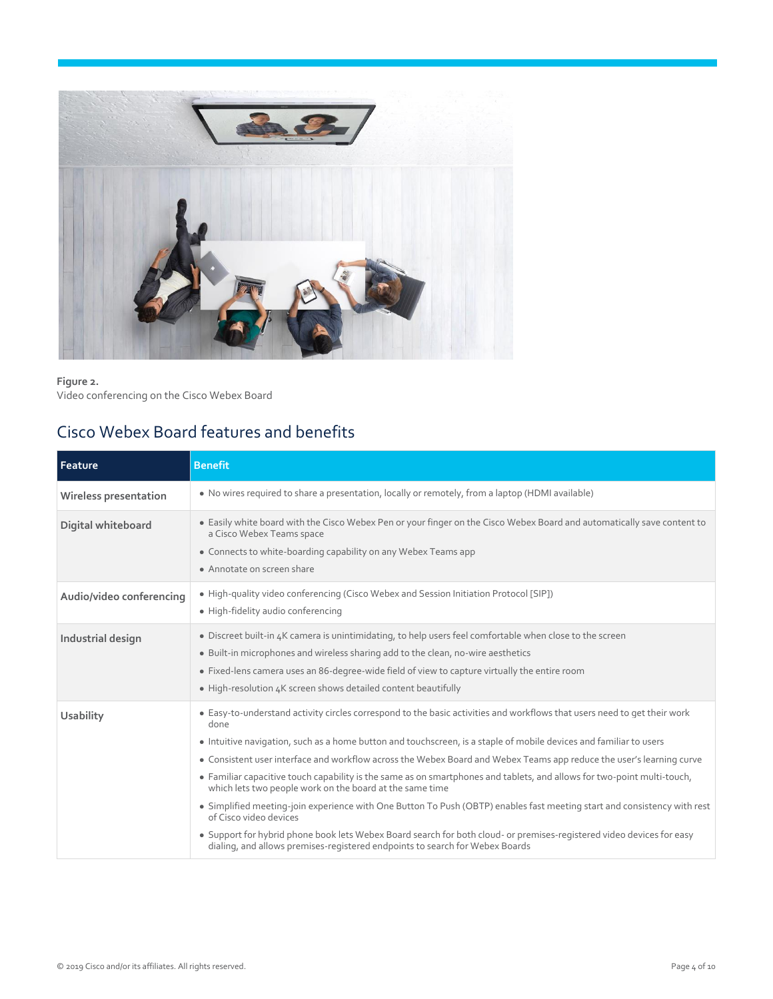

**Figure 2.**  Video conferencing on the Cisco Webex Board

## <span id="page-3-0"></span>Cisco Webex Board features and benefits

| Feature                      | <b>Benefit</b>                                                                                                                                                                                                                                                                                                                                                                                                                                                                                                                                                                                                                                                                                                                                                                                                                                                                                                                       |
|------------------------------|--------------------------------------------------------------------------------------------------------------------------------------------------------------------------------------------------------------------------------------------------------------------------------------------------------------------------------------------------------------------------------------------------------------------------------------------------------------------------------------------------------------------------------------------------------------------------------------------------------------------------------------------------------------------------------------------------------------------------------------------------------------------------------------------------------------------------------------------------------------------------------------------------------------------------------------|
| <b>Wireless presentation</b> | • No wires required to share a presentation, locally or remotely, from a laptop (HDMI available)                                                                                                                                                                                                                                                                                                                                                                                                                                                                                                                                                                                                                                                                                                                                                                                                                                     |
| Digital whiteboard           | • Easily white board with the Cisco Webex Pen or your finger on the Cisco Webex Board and automatically save content to<br>a Cisco Webex Teams space<br>• Connects to white-boarding capability on any Webex Teams app<br>• Annotate on screen share                                                                                                                                                                                                                                                                                                                                                                                                                                                                                                                                                                                                                                                                                 |
| Audio/video conferencing     | • High-quality video conferencing (Cisco Webex and Session Initiation Protocol [SIP])<br>· High-fidelity audio conferencing                                                                                                                                                                                                                                                                                                                                                                                                                                                                                                                                                                                                                                                                                                                                                                                                          |
| Industrial design            | • Discreet built-in 4K camera is unintimidating, to help users feel comfortable when close to the screen<br>• Built-in microphones and wireless sharing add to the clean, no-wire aesthetics<br>• Fixed-lens camera uses an 86-degree-wide field of view to capture virtually the entire room<br>• High-resolution 4K screen shows detailed content beautifully                                                                                                                                                                                                                                                                                                                                                                                                                                                                                                                                                                      |
| <b>Usability</b>             | • Easy-to-understand activity circles correspond to the basic activities and workflows that users need to get their work<br>done<br>• Intuitive navigation, such as a home button and touchscreen, is a staple of mobile devices and familiar to users<br>• Consistent user interface and workflow across the Webex Board and Webex Teams app reduce the user's learning curve<br>• Familiar capacitive touch capability is the same as on smartphones and tablets, and allows for two-point multi-touch,<br>which lets two people work on the board at the same time<br>• Simplified meeting-join experience with One Button To Push (OBTP) enables fast meeting start and consistency with rest<br>of Cisco video devices<br>• Support for hybrid phone book lets Webex Board search for both cloud- or premises-registered video devices for easy<br>dialing, and allows premises-registered endpoints to search for Webex Boards |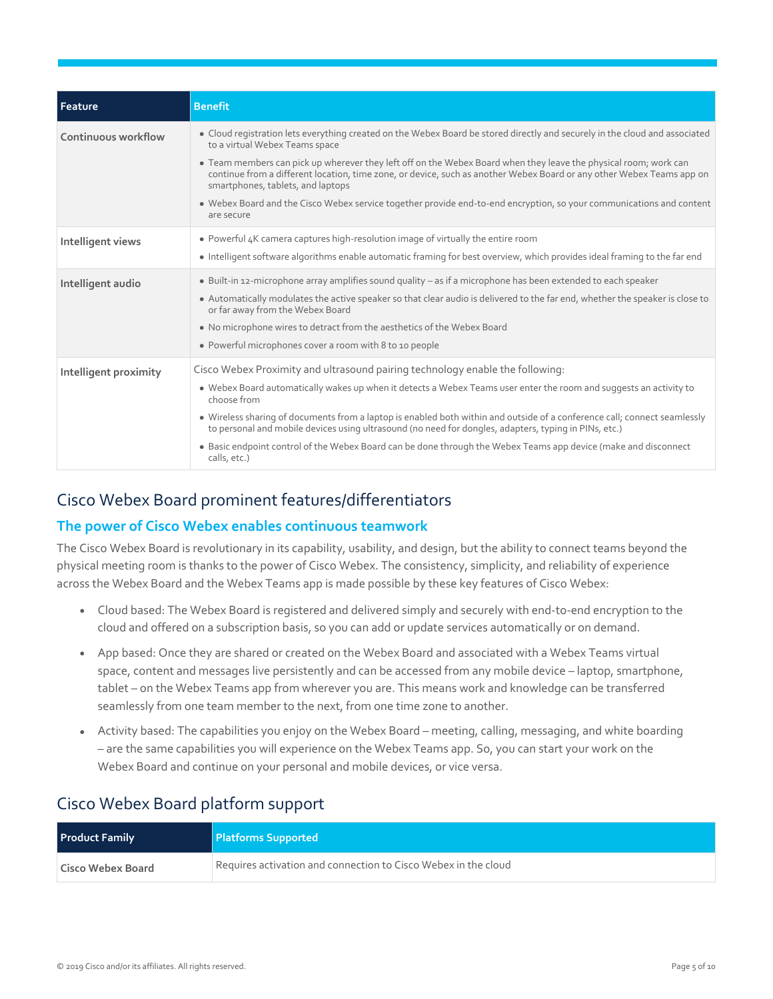| Feature               | <b>Benefit</b>                                                                                                                                                                                                                                                                                                                                                                                                                                                                                                                                                                              |
|-----------------------|---------------------------------------------------------------------------------------------------------------------------------------------------------------------------------------------------------------------------------------------------------------------------------------------------------------------------------------------------------------------------------------------------------------------------------------------------------------------------------------------------------------------------------------------------------------------------------------------|
| Continuous workflow   | • Cloud registration lets everything created on the Webex Board be stored directly and securely in the cloud and associated<br>to a virtual Webex Teams space<br>• Team members can pick up wherever they left off on the Webex Board when they leave the physical room; work can<br>continue from a different location, time zone, or device, such as another Webex Board or any other Webex Teams app on<br>smartphones, tablets, and laptops<br>. Webex Board and the Cisco Webex service together provide end-to-end encryption, so your communications and content                     |
|                       | are secure                                                                                                                                                                                                                                                                                                                                                                                                                                                                                                                                                                                  |
| Intelligent views     | • Powerful 4K camera captures high-resolution image of virtually the entire room<br>• Intelligent software algorithms enable automatic framing for best overview, which provides ideal framing to the far end                                                                                                                                                                                                                                                                                                                                                                               |
| Intelligent audio     | • Built-in 12-microphone array amplifies sound quality – as if a microphone has been extended to each speaker<br>• Automatically modulates the active speaker so that clear audio is delivered to the far end, whether the speaker is close to<br>or far away from the Webex Board<br>• No microphone wires to detract from the aesthetics of the Webex Board<br>• Powerful microphones cover a room with 8 to 10 people                                                                                                                                                                    |
| Intelligent proximity | Cisco Webex Proximity and ultrasound pairing technology enable the following:<br>. Webex Board automatically wakes up when it detects a Webex Teams user enter the room and suggests an activity to<br>choose from<br>• Wireless sharing of documents from a laptop is enabled both within and outside of a conference call; connect seamlessly<br>to personal and mobile devices using ultrasound (no need for dongles, adapters, typing in PINs, etc.)<br>• Basic endpoint control of the Webex Board can be done through the Webex Teams app device (make and disconnect<br>calls, etc.) |

#### <span id="page-4-0"></span>Cisco Webex Board prominent features/differentiators

#### **The power of Cisco Webex enables continuous teamwork**

The Cisco Webex Board is revolutionary in its capability, usability, and design, but the ability to connect teams beyond the physical meeting room is thanks to the power of Cisco Webex. The consistency, simplicity, and reliability of experience across the Webex Board and the Webex Teams app is made possible by these key features of Cisco Webex:

- Cloud based: The Webex Board is registered and delivered simply and securely with end-to-end encryption to the cloud and offered on a subscription basis, so you can add or update services automatically or on demand.
- App based: Once they are shared or created on the Webex Board and associated with a Webex Teams virtual space, content and messages live persistently and can be accessed from any mobile device – laptop, smartphone, tablet – on the Webex Teams app from wherever you are. This means work and knowledge can be transferred seamlessly from one team member to the next, from one time zone to another.
- Activity based: The capabilities you enjoy on the Webex Board meeting, calling, messaging, and white boarding – are the same capabilities you will experience on the Webex Teams app. So, you can start your work on the Webex Board and continue on your personal and mobile devices, or vice versa.

#### <span id="page-4-1"></span>Cisco Webex Board platform support

| <b>Product Family</b> | <b>Platforms Supported</b>                                     |
|-----------------------|----------------------------------------------------------------|
| Cisco Webex Board     | Requires activation and connection to Cisco Webex in the cloud |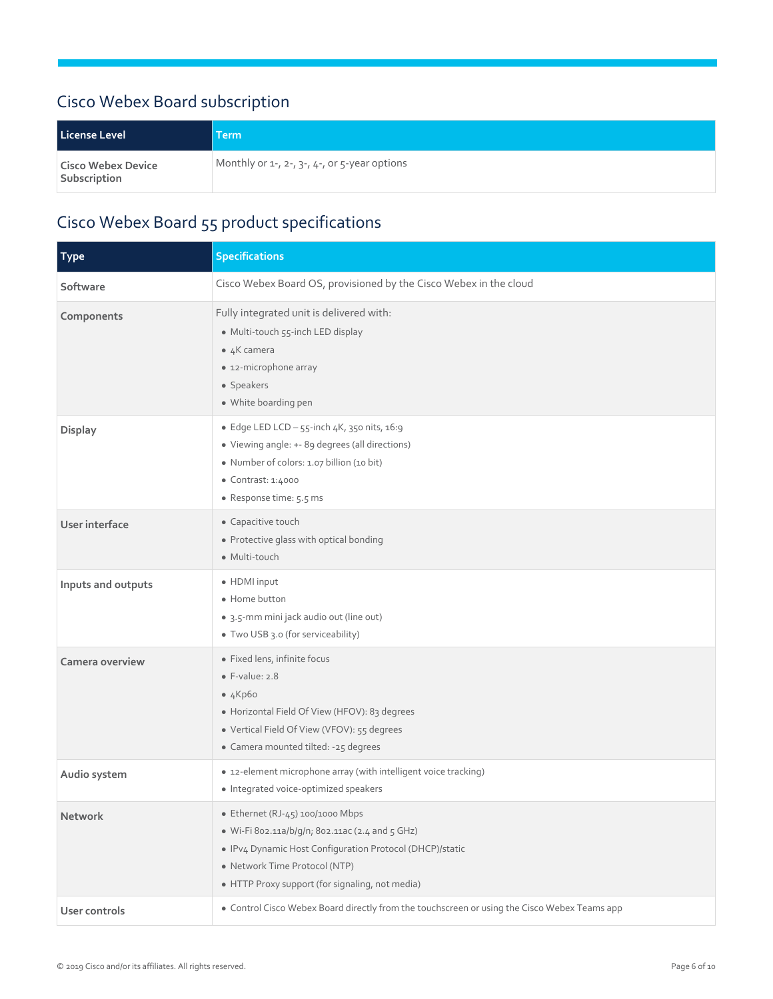## <span id="page-5-0"></span>Cisco Webex Board subscription

| License Level                             | <b>Term</b>                                                 |
|-------------------------------------------|-------------------------------------------------------------|
| <b>Cisco Webex Device</b><br>Subscription | Monthly or $1-$ , $2-$ , $3-$ , $4-$ , or $5-$ year options |

## <span id="page-5-1"></span>Cisco Webex Board 55 product specifications

| <b>Type</b>        | <b>Specifications</b>                                                                                                                                                                                                               |
|--------------------|-------------------------------------------------------------------------------------------------------------------------------------------------------------------------------------------------------------------------------------|
| Software           | Cisco Webex Board OS, provisioned by the Cisco Webex in the cloud                                                                                                                                                                   |
| Components         | Fully integrated unit is delivered with:<br>· Multi-touch 55-inch LED display<br>$\bullet$ 4K camera<br>• 12-microphone array<br>• Speakers<br>· White boarding pen                                                                 |
| Display            | • Edge LED LCD - $55$ -inch $4K$ , $350$ nits, $16:9$<br>· Viewing angle: +- 89 degrees (all directions)<br>• Number of colors: 1.07 billion (10 bit)<br>• Contrast: 1:4000<br>· Response time: 5.5 ms                              |
| User interface     | • Capacitive touch<br>• Protective glass with optical bonding<br>• Multi-touch                                                                                                                                                      |
| Inputs and outputs | • HDMI input<br>• Home button<br>· 3.5-mm mini jack audio out (line out)<br>• Two USB 3.0 (for serviceability)                                                                                                                      |
| Camera overview    | • Fixed lens, infinite focus<br>$\bullet$ F-value: 2.8<br>•4Kp60<br>• Horizontal Field Of View (HFOV): 83 degrees<br>• Vertical Field Of View (VFOV): 55 degrees<br>• Camera mounted tilted: -25 degrees                            |
| Audio system       | • 12-element microphone array (with intelligent voice tracking)<br>· Integrated voice-optimized speakers                                                                                                                            |
| Network            | • Ethernet (RJ-45) 100/1000 Mbps<br>· Wi-Fi 802.11a/b/q/n; 802.11ac (2.4 and 5 GHz)<br>· IPv4 Dynamic Host Configuration Protocol (DHCP)/static<br>• Network Time Protocol (NTP)<br>• HTTP Proxy support (for signaling, not media) |
| User controls      | • Control Cisco Webex Board directly from the touchscreen or using the Cisco Webex Teams app                                                                                                                                        |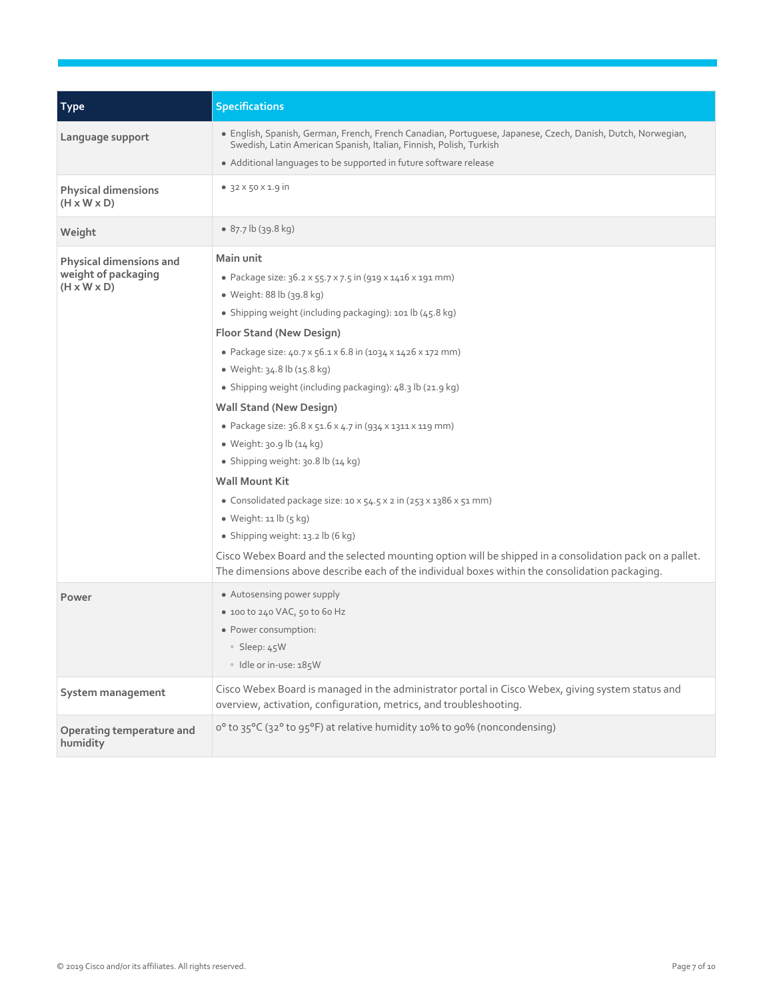| <b>Type</b>                                                               | <b>Specifications</b>                                                                                                                                                                                                                                                                                                                                                                                                                                                                                                                                                                                                                                                                                                                                                                                                                                                                                         |
|---------------------------------------------------------------------------|---------------------------------------------------------------------------------------------------------------------------------------------------------------------------------------------------------------------------------------------------------------------------------------------------------------------------------------------------------------------------------------------------------------------------------------------------------------------------------------------------------------------------------------------------------------------------------------------------------------------------------------------------------------------------------------------------------------------------------------------------------------------------------------------------------------------------------------------------------------------------------------------------------------|
| Language support                                                          | · English, Spanish, German, French, French Canadian, Portuguese, Japanese, Czech, Danish, Dutch, Norwegian,<br>Swedish, Latin American Spanish, Italian, Finnish, Polish, Turkish<br>• Additional languages to be supported in future software release                                                                                                                                                                                                                                                                                                                                                                                                                                                                                                                                                                                                                                                        |
| <b>Physical dimensions</b><br>$(H \times W \times D)$                     | • $32 \times 50 \times 1.9$ in                                                                                                                                                                                                                                                                                                                                                                                                                                                                                                                                                                                                                                                                                                                                                                                                                                                                                |
| Weight                                                                    | $\bullet$ 87.7 lb (39.8 kg)                                                                                                                                                                                                                                                                                                                                                                                                                                                                                                                                                                                                                                                                                                                                                                                                                                                                                   |
| Physical dimensions and<br>weight of packaging<br>$(H \times W \times D)$ | Main unit<br>• Package size: 36.2 x 55.7 x 7.5 in (919 x 1416 x 191 mm)<br>• Weight: 88 lb (39.8 kg)<br>• Shipping weight (including packaging): 101 lb (45.8 kg)<br>Floor Stand (New Design)<br>· Package size: 40.7 x 56.1 x 6.8 in (1034 x 1426 x 172 mm)<br>• Weight: 34.8 lb (15.8 kg)<br>• Shipping weight (including packaging): 48.3 lb (21.9 kg)<br><b>Wall Stand (New Design)</b><br>· Package size: 36.8 x 51.6 x 4.7 in (934 x 1311 x 119 mm)<br>• Weight: 30.9 lb (14 kg)<br>· Shipping weight: 30.8 lb (14 kg)<br><b>Wall Mount Kit</b><br>• Consolidated package size: 10 x 54.5 x 2 in (253 x 1386 x 51 mm)<br>• Weight: $11$ lb $(5$ kg)<br>• Shipping weight: $13.2$ lb (6 kg)<br>Cisco Webex Board and the selected mounting option will be shipped in a consolidation pack on a pallet.<br>The dimensions above describe each of the individual boxes within the consolidation packaging. |
| Power                                                                     | • Autosensing power supply<br>$\bullet$ 100 to 240 VAC, 50 to 60 Hz<br>· Power consumption:<br>$\circ$ Sleep: 45W<br>· Idle or in-use: 185W                                                                                                                                                                                                                                                                                                                                                                                                                                                                                                                                                                                                                                                                                                                                                                   |
| System management                                                         | Cisco Webex Board is managed in the administrator portal in Cisco Webex, giving system status and<br>overview, activation, configuration, metrics, and troubleshooting.                                                                                                                                                                                                                                                                                                                                                                                                                                                                                                                                                                                                                                                                                                                                       |
| Operating temperature and<br>humidity                                     | o° to 35°C (32° to 95°F) at relative humidity 10% to 90% (noncondensing)                                                                                                                                                                                                                                                                                                                                                                                                                                                                                                                                                                                                                                                                                                                                                                                                                                      |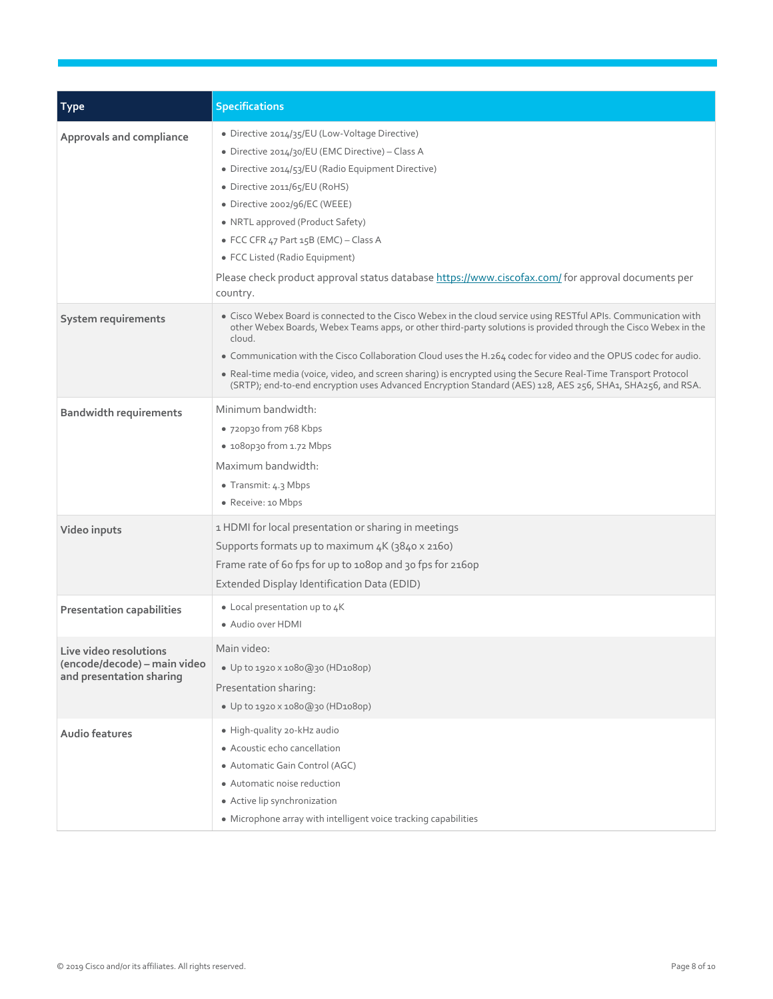| <b>Type</b>                                                                        | <b>Specifications</b>                                                                                                                                                                                                                                                                                                                                                                                                                                                                                                                                                                            |
|------------------------------------------------------------------------------------|--------------------------------------------------------------------------------------------------------------------------------------------------------------------------------------------------------------------------------------------------------------------------------------------------------------------------------------------------------------------------------------------------------------------------------------------------------------------------------------------------------------------------------------------------------------------------------------------------|
| Approvals and compliance                                                           | · Directive 2014/35/EU (Low-Voltage Directive)<br>• Directive 2014/30/EU (EMC Directive) – Class A<br>· Directive 2014/53/EU (Radio Equipment Directive)<br>• Directive 2011/65/EU (RoHS)<br>• Directive 2002/96/EC (WEEE)<br>• NRTL approved (Product Safety)<br>• FCC CFR 47 Part 15B (EMC) - Class A<br>• FCC Listed (Radio Equipment)<br>Please check product approval status database https://www.ciscofax.com/ for approval documents per<br>country.                                                                                                                                      |
| System requirements                                                                | • Cisco Webex Board is connected to the Cisco Webex in the cloud service using RESTful APIs. Communication with<br>other Webex Boards, Webex Teams apps, or other third-party solutions is provided through the Cisco Webex in the<br>cloud.<br>. Communication with the Cisco Collaboration Cloud uses the H.264 codec for video and the OPUS codec for audio.<br>• Real-time media (voice, video, and screen sharing) is encrypted using the Secure Real-Time Transport Protocol<br>(SRTP); end-to-end encryption uses Advanced Encryption Standard (AES) 128, AES 256, SHA1, SHA256, and RSA. |
| <b>Bandwidth requirements</b>                                                      | Minimum bandwidth:<br>• 720p30 from 768 Kbps<br>• 1080p30 from 1.72 Mbps<br>Maximum bandwidth:<br>• Transmit: $4.3$ Mbps<br>• Receive: 10 Mbps                                                                                                                                                                                                                                                                                                                                                                                                                                                   |
| Video inputs                                                                       | 1 HDMI for local presentation or sharing in meetings<br>Supports formats up to maximum 4K (3840 x 2160)<br>Frame rate of 60 fps for up to 1080p and 30 fps for 2160p<br>Extended Display Identification Data (EDID)                                                                                                                                                                                                                                                                                                                                                                              |
| <b>Presentation capabilities</b>                                                   | • Local presentation up to $4K$<br>• Audio over HDMI                                                                                                                                                                                                                                                                                                                                                                                                                                                                                                                                             |
| Live video resolutions<br>(encode/decode) – main video<br>and presentation sharing | Main video:<br>• Up to 1920 x 1080@30 (HD1080p)<br>Presentation sharing:<br>• Up to 1920 x 1080@30 (HD1080p)                                                                                                                                                                                                                                                                                                                                                                                                                                                                                     |
| Audio features                                                                     | · High-quality 20-kHz audio<br>• Acoustic echo cancellation<br>• Automatic Gain Control (AGC)<br>• Automatic noise reduction<br>• Active lip synchronization<br>• Microphone array with intelligent voice tracking capabilities                                                                                                                                                                                                                                                                                                                                                                  |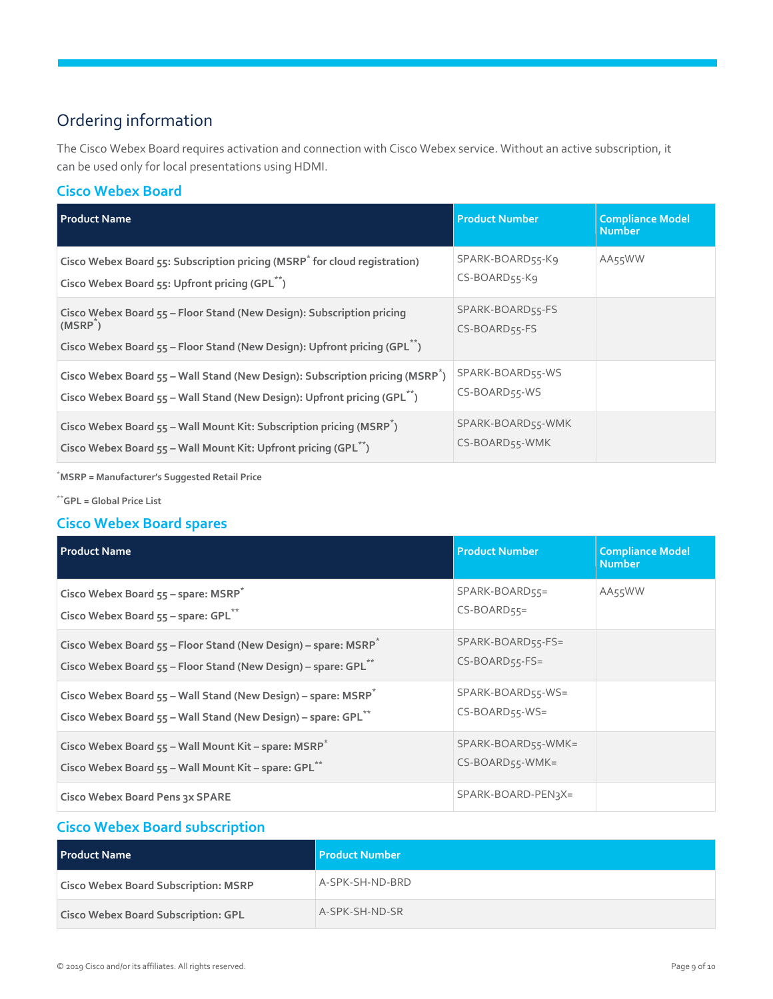## <span id="page-8-0"></span>Ordering information

The Cisco Webex Board requires activation and connection with Cisco Webex service. Without an active subscription, it can be used only for local presentations using HDMI.

#### **Cisco Webex Board**

| <b>Product Name</b>                                                                                                                                                               | <b>Product Number</b>               | <b>Compliance Model</b><br><b>Number</b> |
|-----------------------------------------------------------------------------------------------------------------------------------------------------------------------------------|-------------------------------------|------------------------------------------|
| Cisco Webex Board 55: Subscription pricing (MSRP <sup>*</sup> for cloud registration)<br>Cisco Webex Board 55: Upfront pricing (GPL <sup>**</sup> )                               | SPARK-BOARD55-K9<br>CS-BOARD55-Kg   | AA55WW                                   |
| Cisco Webex Board 55 - Floor Stand (New Design): Subscription pricing<br>$(MSRP^*)$<br>Cisco Webex Board 55 - Floor Stand (New Design): Upfront pricing (GPL <sup>**</sup> )      | SPARK-BOARD55-FS<br>CS-BOARD55-FS   |                                          |
| Cisco Webex Board 55 - Wall Stand (New Design): Subscription pricing (MSRP <sup>^</sup> )<br>Cisco Webex Board 55 - Wall Stand (New Design): Upfront pricing (GPL <sup>**</sup> ) | SPARK-BOARD55-WS<br>CS-BOARD55-WS   |                                          |
| Cisco Webex Board 55 - Wall Mount Kit: Subscription pricing (MSRP <sup>*</sup> )<br>Cisco Webex Board 55 - Wall Mount Kit: Upfront pricing (GPL <sup>**</sup> )                   | SPARK-BOARD55-WMK<br>CS-BOARD55-WMK |                                          |

\***MSRP = Manufacturer's Suggested Retail Price**

\*\***GPL = Global Price List**

#### **Cisco Webex Board spares**

| <b>Product Name</b>                                                                                                                                        | <b>Product Number</b>                 | <b>Compliance Model</b><br><b>Number</b> |
|------------------------------------------------------------------------------------------------------------------------------------------------------------|---------------------------------------|------------------------------------------|
| Cisco Webex Board $55$ – spare: MSRP <sup>*</sup><br>Cisco Webex Board 55 - spare: GPL <sup>**</sup>                                                       | SPARK-BOARD55=<br>$CS-BOARD55=$       | AA55WW                                   |
| Cisco Webex Board $55$ – Floor Stand (New Design) – spare: MSRP <sup>*</sup><br>Cisco Webex Board 55 - Floor Stand (New Design) - spare: GPL <sup>**</sup> | SPARK-BOARD55-FS=<br>$CS-BOARD55-FS=$ |                                          |
| Cisco Webex Board 55 - Wall Stand (New Design) - spare: MSRP <sup>*</sup><br>Cisco Webex Board 55 - Wall Stand (New Design) - spare: GPL <sup>**</sup>     | SPARK-BOARD55-WS=<br>$CS-BOARD55-WS=$ |                                          |
| Cisco Webex Board 55 - Wall Mount Kit - spare: MSRP*<br>Cisco Webex Board 55 - Wall Mount Kit - spare: GPL <sup>**</sup>                                   | SPARK-BOARD55-WMK=<br>CS-BOARD55-WMK= |                                          |
| Cisco Webex Board Pens 3x SPARE                                                                                                                            | SPARK-BOARD-PEN3X=                    |                                          |

#### **Cisco Webex Board subscription**

| <b>Product Name</b>                         | Product Number  |
|---------------------------------------------|-----------------|
| <b>Cisco Webex Board Subscription: MSRP</b> | A-SPK-SH-ND-BRD |
| <b>Cisco Webex Board Subscription: GPL</b>  | A-SPK-SH-ND-SR  |